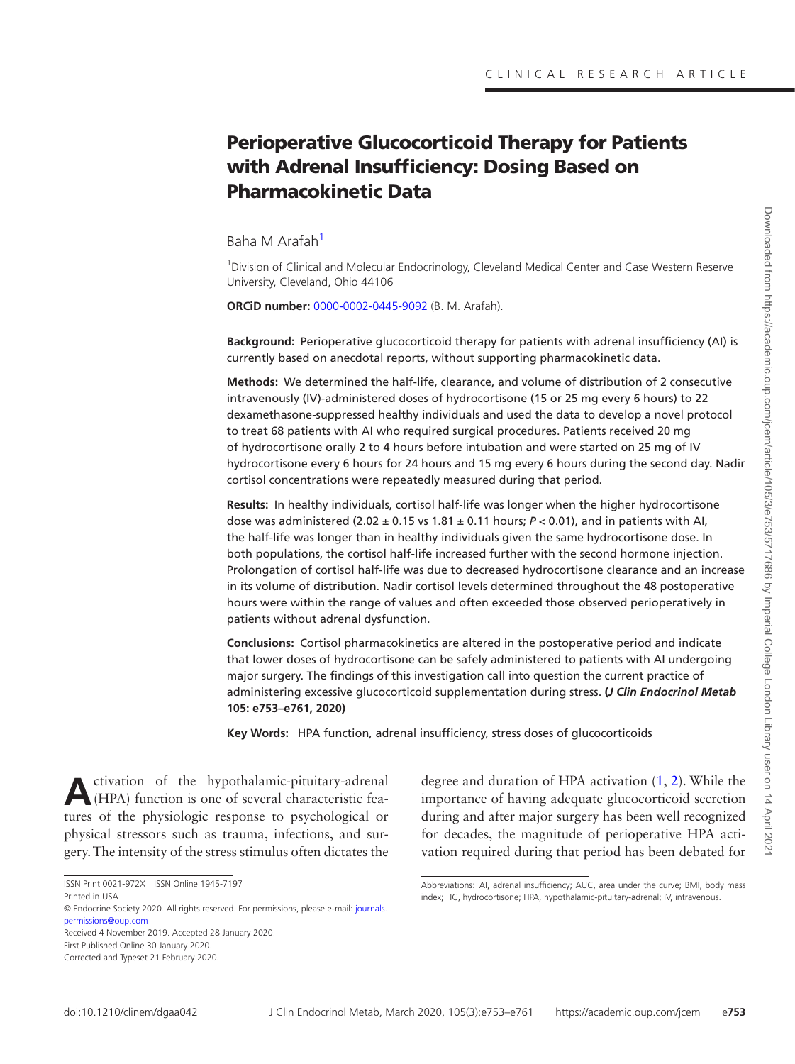# Perioperative Glucocorticoid Therapy for Patients with Adrenal Insufficiency: Dosing Based on Pharmacokinetic Data

[Baha M Arafah](http://orcid.org/0000-0002-0445-9092)<sup>[1](#page-0-0)</sup>

<span id="page-0-0"></span><sup>1</sup> Division of Clinical and Molecular Endocrinology, Cleveland Medical Center and Case Western Reserve University, Cleveland, Ohio 44106

**ORCiD number:** [0000-0002-0445-9092](http://orcid.org/0000-0002-0445-9092) (B. M. Arafah).

**Background:** Perioperative glucocorticoid therapy for patients with adrenal insufficiency (AI) is currently based on anecdotal reports, without supporting pharmacokinetic data.

**Methods:** We determined the half-life, clearance, and volume of distribution of 2 consecutive intravenously (IV)-administered doses of hydrocortisone (15 or 25 mg every 6 hours) to 22 dexamethasone-suppressed healthy individuals and used the data to develop a novel protocol to treat 68 patients with AI who required surgical procedures. Patients received 20 mg of hydrocortisone orally 2 to 4 hours before intubation and were started on 25 mg of IV hydrocortisone every 6 hours for 24 hours and 15 mg every 6 hours during the second day. Nadir cortisol concentrations were repeatedly measured during that period.

**Results:** In healthy individuals, cortisol half-life was longer when the higher hydrocortisone dose was administered  $(2.02 \pm 0.15 \text{ vs } 1.81 \pm 0.11 \text{ hours}; P < 0.01)$ , and in patients with AI, the half-life was longer than in healthy individuals given the same hydrocortisone dose. In both populations, the cortisol half-life increased further with the second hormone injection. Prolongation of cortisol half-life was due to decreased hydrocortisone clearance and an increase in its volume of distribution. Nadir cortisol levels determined throughout the 48 postoperative hours were within the range of values and often exceeded those observed perioperatively in patients without adrenal dysfunction.

**Conclusions:** Cortisol pharmacokinetics are altered in the postoperative period and indicate that lower doses of hydrocortisone can be safely administered to patients with AI undergoing major surgery. The findings of this investigation call into question the current practice of administering excessive glucocorticoid supplementation during stress. **(***J Clin Endocrinol Metab*  **105: e753–e761, 2020)**

**Key Words:** HPA function, adrenal insufficiency, stress doses of glucocorticoids

Activation of the hypothalamic-pituitary-adrenal (HPA) function is one of several characteristic features of the physiologic response to psychological or physical stressors such as trauma, infections, and surgery. The intensity of the stress stimulus often dictates the

Received 4 November 2019. Accepted 28 January 2020. First Published Online 30 January 2020.

degree and duration of HPA activation ([1](#page-7-0), [2](#page-7-1)). While the importance of having adequate glucocorticoid secretion during and after major surgery has been well recognized for decades, the magnitude of perioperative HPA activation required during that period has been debated for

ISSN Print 0021-972X ISSN Online 1945-7197

Printed in USA

<sup>©</sup> Endocrine Society 2020. All rights reserved. For permissions, please e-mail: journals. permissions@oup.com

Corrected and Typeset 21 February 2020.

Abbreviations: AI, adrenal insufficiency; AUC, area under the curve; BMI, body mass index; HC, hydrocortisone; HPA, hypothalamic-pituitary-adrenal; IV, intravenous.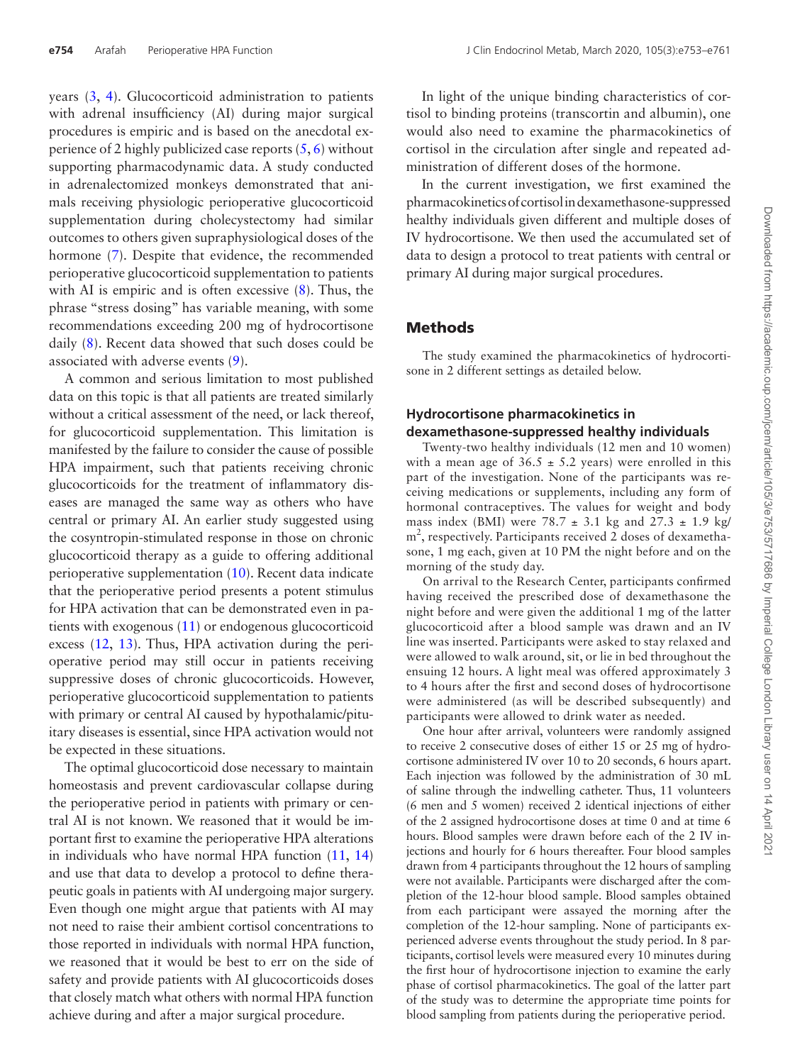years ([3](#page-7-2), [4](#page-7-3)). Glucocorticoid administration to patients with adrenal insufficiency (AI) during major surgical procedures is empiric and is based on the anecdotal experience of 2 highly publicized case reports  $(5, 6)$  $(5, 6)$  $(5, 6)$  $(5, 6)$  $(5, 6)$  without supporting pharmacodynamic data. A study conducted in adrenalectomized monkeys demonstrated that animals receiving physiologic perioperative glucocorticoid supplementation during cholecystectomy had similar outcomes to others given supraphysiological doses of the hormone [\(7\)](#page-7-6). Despite that evidence, the recommended perioperative glucocorticoid supplementation to patients with AI is empiric and is often excessive  $(8)$  $(8)$  $(8)$ . Thus, the phrase "stress dosing" has variable meaning, with some recommendations exceeding 200 mg of hydrocortisone daily ([8](#page-7-7)). Recent data showed that such doses could be associated with adverse events [\(9\)](#page-7-8).

A common and serious limitation to most published data on this topic is that all patients are treated similarly without a critical assessment of the need, or lack thereof, for glucocorticoid supplementation. This limitation is manifested by the failure to consider the cause of possible HPA impairment, such that patients receiving chronic glucocorticoids for the treatment of inflammatory diseases are managed the same way as others who have central or primary AI. An earlier study suggested using the cosyntropin-stimulated response in those on chronic glucocorticoid therapy as a guide to offering additional perioperative supplementation [\(10\)](#page-7-9). Recent data indicate that the perioperative period presents a potent stimulus for HPA activation that can be demonstrated even in patients with exogenous [\(11](#page-7-10)) or endogenous glucocorticoid excess ([12,](#page-7-11) [13](#page-7-12)). Thus, HPA activation during the perioperative period may still occur in patients receiving suppressive doses of chronic glucocorticoids. However, perioperative glucocorticoid supplementation to patients with primary or central AI caused by hypothalamic/pituitary diseases is essential, since HPA activation would not be expected in these situations.

The optimal glucocorticoid dose necessary to maintain homeostasis and prevent cardiovascular collapse during the perioperative period in patients with primary or central AI is not known. We reasoned that it would be important first to examine the perioperative HPA alterations in individuals who have normal HPA function ([11,](#page-7-10) [14\)](#page-7-13) and use that data to develop a protocol to define therapeutic goals in patients with AI undergoing major surgery. Even though one might argue that patients with AI may not need to raise their ambient cortisol concentrations to those reported in individuals with normal HPA function, we reasoned that it would be best to err on the side of safety and provide patients with AI glucocorticoids doses that closely match what others with normal HPA function achieve during and after a major surgical procedure.

In light of the unique binding characteristics of cortisol to binding proteins (transcortin and albumin), one would also need to examine the pharmacokinetics of cortisol in the circulation after single and repeated administration of different doses of the hormone.

In the current investigation, we first examined the pharmacokinetics of cortisol in dexamethasone-suppressed healthy individuals given different and multiple doses of IV hydrocortisone. We then used the accumulated set of data to design a protocol to treat patients with central or primary AI during major surgical procedures.

### **Methods**

The study examined the pharmacokinetics of hydrocortisone in 2 different settings as detailed below.

## **Hydrocortisone pharmacokinetics in dexamethasone-suppressed healthy individuals**

Twenty-two healthy individuals (12 men and 10 women) with a mean age of  $36.5 \pm 5.2$  years) were enrolled in this part of the investigation. None of the participants was receiving medications or supplements, including any form of hormonal contraceptives. The values for weight and body mass index (BMI) were  $78.7 \pm 3.1$  kg and  $27.3 \pm 1.9$  kg/ m<sup>2</sup>, respectively. Participants received 2 doses of dexamethasone, 1 mg each, given at 10 PM the night before and on the morning of the study day.

On arrival to the Research Center, participants confirmed having received the prescribed dose of dexamethasone the night before and were given the additional 1 mg of the latter glucocorticoid after a blood sample was drawn and an IV line was inserted. Participants were asked to stay relaxed and were allowed to walk around, sit, or lie in bed throughout the ensuing 12 hours. A light meal was offered approximately 3 to 4 hours after the first and second doses of hydrocortisone were administered (as will be described subsequently) and participants were allowed to drink water as needed.

One hour after arrival, volunteers were randomly assigned to receive 2 consecutive doses of either 15 or 25 mg of hydrocortisone administered IV over 10 to 20 seconds, 6 hours apart. Each injection was followed by the administration of 30 mL of saline through the indwelling catheter. Thus, 11 volunteers (6 men and 5 women) received 2 identical injections of either of the 2 assigned hydrocortisone doses at time 0 and at time 6 hours. Blood samples were drawn before each of the 2 IV injections and hourly for 6 hours thereafter. Four blood samples drawn from 4 participants throughout the 12 hours of sampling were not available. Participants were discharged after the completion of the 12-hour blood sample. Blood samples obtained from each participant were assayed the morning after the completion of the 12-hour sampling. None of participants experienced adverse events throughout the study period. In 8 participants, cortisol levels were measured every 10 minutes during the first hour of hydrocortisone injection to examine the early phase of cortisol pharmacokinetics. The goal of the latter part of the study was to determine the appropriate time points for blood sampling from patients during the perioperative period.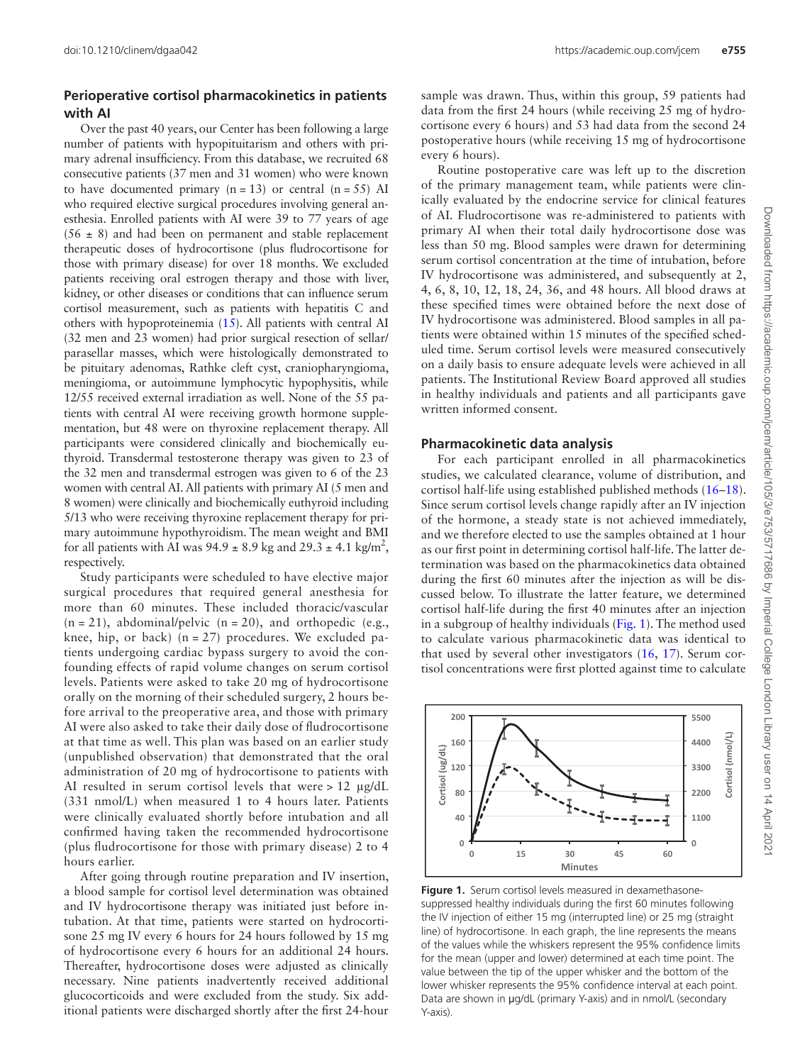#### **Perioperative cortisol pharmacokinetics in patients with AI**

Over the past 40 years, our Center has been following a large number of patients with hypopituitarism and others with primary adrenal insufficiency. From this database, we recruited 68 consecutive patients (37 men and 31 women) who were known to have documented primary  $(n = 13)$  or central  $(n = 55)$  AI who required elective surgical procedures involving general anesthesia. Enrolled patients with AI were 39 to 77 years of age  $(56 \pm 8)$  and had been on permanent and stable replacement therapeutic doses of hydrocortisone (plus fludrocortisone for those with primary disease) for over 18 months. We excluded patients receiving oral estrogen therapy and those with liver, kidney, or other diseases or conditions that can influence serum cortisol measurement, such as patients with hepatitis C and others with hypoproteinemia ([15](#page-7-14)). All patients with central AI (32 men and 23 women) had prior surgical resection of sellar/ parasellar masses, which were histologically demonstrated to be pituitary adenomas, Rathke cleft cyst, craniopharyngioma, meningioma, or autoimmune lymphocytic hypophysitis, while 12/55 received external irradiation as well. None of the 55 patients with central AI were receiving growth hormone supplementation, but 48 were on thyroxine replacement therapy. All participants were considered clinically and biochemically euthyroid. Transdermal testosterone therapy was given to 23 of the 32 men and transdermal estrogen was given to 6 of the 23 women with central AI. All patients with primary AI (5 men and 8 women) were clinically and biochemically euthyroid including 5/13 who were receiving thyroxine replacement therapy for primary autoimmune hypothyroidism. The mean weight and BMI for all patients with AI was  $94.9 \pm 8.9$  kg and  $29.3 \pm 4.1$  kg/m<sup>2</sup>, respectively.

Study participants were scheduled to have elective major surgical procedures that required general anesthesia for more than 60 minutes. These included thoracic/vascular  $(n = 21)$ , abdominal/pelvic  $(n = 20)$ , and orthopedic  $(e.g.,)$ knee, hip, or back)  $(n = 27)$  procedures. We excluded patients undergoing cardiac bypass surgery to avoid the confounding effects of rapid volume changes on serum cortisol levels. Patients were asked to take 20 mg of hydrocortisone orally on the morning of their scheduled surgery, 2 hours before arrival to the preoperative area, and those with primary AI were also asked to take their daily dose of fludrocortisone at that time as well. This plan was based on an earlier study (unpublished observation) that demonstrated that the oral administration of 20 mg of hydrocortisone to patients with AI resulted in serum cortisol levels that were > 12 μg/dL (331 nmol/L) when measured 1 to 4 hours later. Patients were clinically evaluated shortly before intubation and all confirmed having taken the recommended hydrocortisone (plus fludrocortisone for those with primary disease) 2 to 4 hours earlier.

After going through routine preparation and IV insertion, a blood sample for cortisol level determination was obtained and IV hydrocortisone therapy was initiated just before intubation. At that time, patients were started on hydrocortisone 25 mg IV every 6 hours for 24 hours followed by 15 mg of hydrocortisone every 6 hours for an additional 24 hours. Thereafter, hydrocortisone doses were adjusted as clinically necessary. Nine patients inadvertently received additional glucocorticoids and were excluded from the study. Six additional patients were discharged shortly after the first 24-hour sample was drawn. Thus, within this group, 59 patients had data from the first 24 hours (while receiving 25 mg of hydrocortisone every 6 hours) and 53 had data from the second 24 postoperative hours (while receiving 15 mg of hydrocortisone every 6 hours).

Routine postoperative care was left up to the discretion of the primary management team, while patients were clinically evaluated by the endocrine service for clinical features of AI. Fludrocortisone was re-administered to patients with primary AI when their total daily hydrocortisone dose was less than 50 mg. Blood samples were drawn for determining serum cortisol concentration at the time of intubation, before IV hydrocortisone was administered, and subsequently at 2, 4, 6, 8, 10, 12, 18, 24, 36, and 48 hours. All blood draws at these specified times were obtained before the next dose of IV hydrocortisone was administered. Blood samples in all patients were obtained within 15 minutes of the specified scheduled time. Serum cortisol levels were measured consecutively on a daily basis to ensure adequate levels were achieved in all patients. The Institutional Review Board approved all studies in healthy individuals and patients and all participants gave written informed consent.

#### **Pharmacokinetic data analysis**

For each participant enrolled in all pharmacokinetics studies, we calculated clearance, volume of distribution, and cortisol half-life using established published methods [\(16](#page-7-15)–[18\)](#page-7-16). Since serum cortisol levels change rapidly after an IV injection of the hormone, a steady state is not achieved immediately, and we therefore elected to use the samples obtained at 1 hour as our first point in determining cortisol half-life. The latter determination was based on the pharmacokinetics data obtained during the first 60 minutes after the injection as will be discussed below. To illustrate the latter feature, we determined cortisol half-life during the first 40 minutes after an injection in a subgroup of healthy individuals ([Fig. 1\)](#page-2-0). The method used to calculate various pharmacokinetic data was identical to that used by several other investigators ([16,](#page-7-15) [17\)](#page-7-17). Serum cortisol concentrations were first plotted against time to calculate



<span id="page-2-0"></span>**Figure 1.** Serum cortisol levels measured in dexamethasonesuppressed healthy individuals during the first 60 minutes following the IV injection of either 15 mg (interrupted line) or 25 mg (straight line) of hydrocortisone. In each graph, the line represents the means of the values while the whiskers represent the 95% confidence limits for the mean (upper and lower) determined at each time point. The value between the tip of the upper whisker and the bottom of the lower whisker represents the 95% confidence interval at each point. Data are shown in μg/dL (primary Y-axis) and in nmol/L (secondary Y-axis).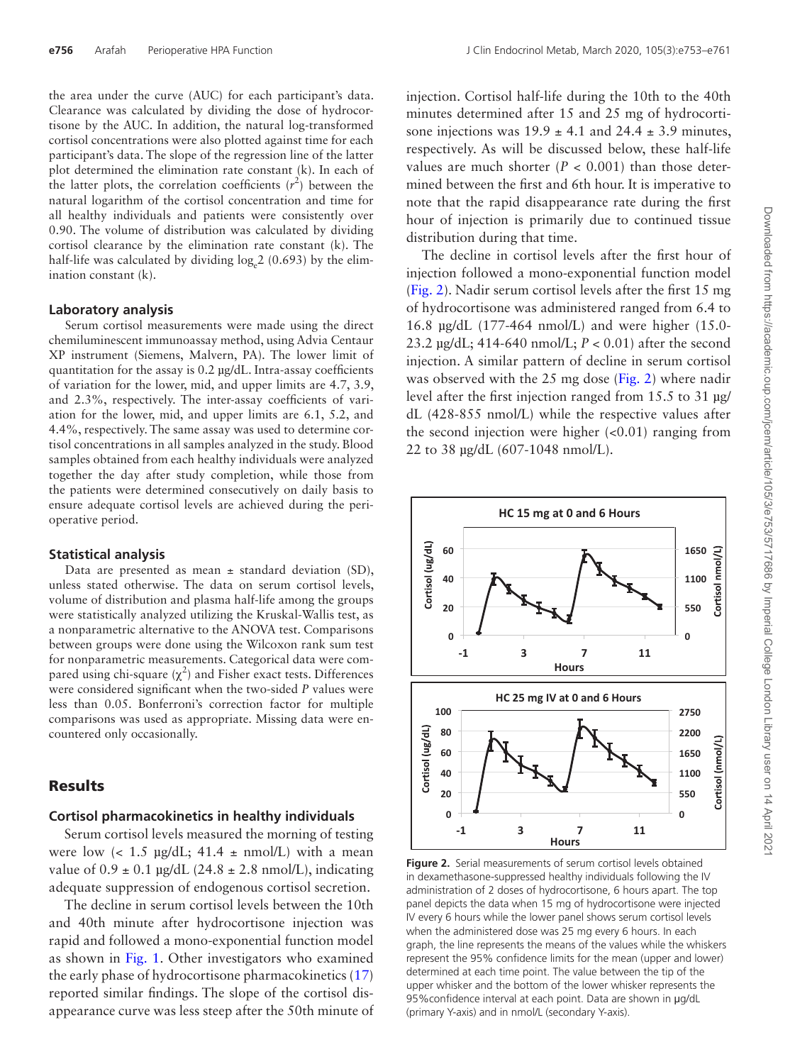the area under the curve (AUC) for each participant's data. Clearance was calculated by dividing the dose of hydrocortisone by the AUC. In addition, the natural log-transformed cortisol concentrations were also plotted against time for each participant's data. The slope of the regression line of the latter plot determined the elimination rate constant (k). In each of the latter plots, the correlation coefficients  $(r^2)$  between the natural logarithm of the cortisol concentration and time for all healthy individuals and patients were consistently over 0.90. The volume of distribution was calculated by dividing cortisol clearance by the elimination rate constant (k). The half-life was calculated by dividing  $log_e 2$  (0.693) by the elimination constant (k).

#### **Laboratory analysis**

Serum cortisol measurements were made using the direct chemiluminescent immunoassay method, using Advia Centaur XP instrument (Siemens, Malvern, PA). The lower limit of quantitation for the assay is 0.2 µg/dL. Intra-assay coefficients of variation for the lower, mid, and upper limits are 4.7, 3.9, and 2.3%, respectively. The inter-assay coefficients of variation for the lower, mid, and upper limits are 6.1, 5.2, and 4.4%, respectively. The same assay was used to determine cortisol concentrations in all samples analyzed in the study. Blood samples obtained from each healthy individuals were analyzed together the day after study completion, while those from the patients were determined consecutively on daily basis to ensure adequate cortisol levels are achieved during the perioperative period.

#### **Statistical analysis**

Data are presented as mean  $\pm$  standard deviation (SD), unless stated otherwise. The data on serum cortisol levels, volume of distribution and plasma half-life among the groups were statistically analyzed utilizing the Kruskal-Wallis test, as a nonparametric alternative to the ANOVA test. Comparisons between groups were done using the Wilcoxon rank sum test for nonparametric measurements. Categorical data were compared using chi-square  $(\chi^2)$  and Fisher exact tests. Differences were considered significant when the two-sided *P* values were less than 0.05. Bonferroni's correction factor for multiple comparisons was used as appropriate. Missing data were encountered only occasionally.

#### Results

#### **Cortisol pharmacokinetics in healthy individuals**

Serum cortisol levels measured the morning of testing were low  $\langle$  1.5  $\mu$ g/dL; 41.4  $\pm$  nmol/L) with a mean value of  $0.9 \pm 0.1$  µg/dL (24.8  $\pm$  2.8 nmol/L), indicating adequate suppression of endogenous cortisol secretion.

The decline in serum cortisol levels between the 10th and 40th minute after hydrocortisone injection was rapid and followed a mono-exponential function model as shown in [Fig. 1.](#page-2-0) Other investigators who examined the early phase of hydrocortisone pharmacokinetics ([17\)](#page-7-17) reported similar findings. The slope of the cortisol disappearance curve was less steep after the 50th minute of injection. Cortisol half-life during the 10th to the 40th minutes determined after 15 and 25 mg of hydrocortisone injections was  $19.9 \pm 4.1$  and  $24.4 \pm 3.9$  minutes, respectively. As will be discussed below, these half-life values are much shorter  $(P < 0.001)$  than those determined between the first and 6th hour. It is imperative to note that the rapid disappearance rate during the first hour of injection is primarily due to continued tissue distribution during that time.

The decline in cortisol levels after the first hour of injection followed a mono-exponential function model [\(Fig. 2\)](#page-3-0). Nadir serum cortisol levels after the first 15 mg of hydrocortisone was administered ranged from 6.4 to 16.8 µg/dL (177-464 nmol/L) and were higher (15.0- 23.2 µg/dL; 414-640 nmol/L; *P* < 0.01) after the second injection. A similar pattern of decline in serum cortisol was observed with the 25 mg dose [\(Fig. 2\)](#page-3-0) where nadir level after the first injection ranged from 15.5 to 31 µg/ dL (428-855 nmol/L) while the respective values after the second injection were higher  $( $0.01$ ) ranging from$ 22 to 38 µg/dL (607-1048 nmol/L).



<span id="page-3-0"></span>**Figure 2.** Serial measurements of serum cortisol levels obtained in dexamethasone-suppressed healthy individuals following the IV administration of 2 doses of hydrocortisone, 6 hours apart. The top panel depicts the data when 15 mg of hydrocortisone were injected IV every 6 hours while the lower panel shows serum cortisol levels when the administered dose was 25 mg every 6 hours. In each graph, the line represents the means of the values while the whiskers represent the 95% confidence limits for the mean (upper and lower) determined at each time point. The value between the tip of the upper whisker and the bottom of the lower whisker represents the 95%confidence interval at each point. Data are shown in μg/dL (primary Y-axis) and in nmol/L (secondary Y-axis).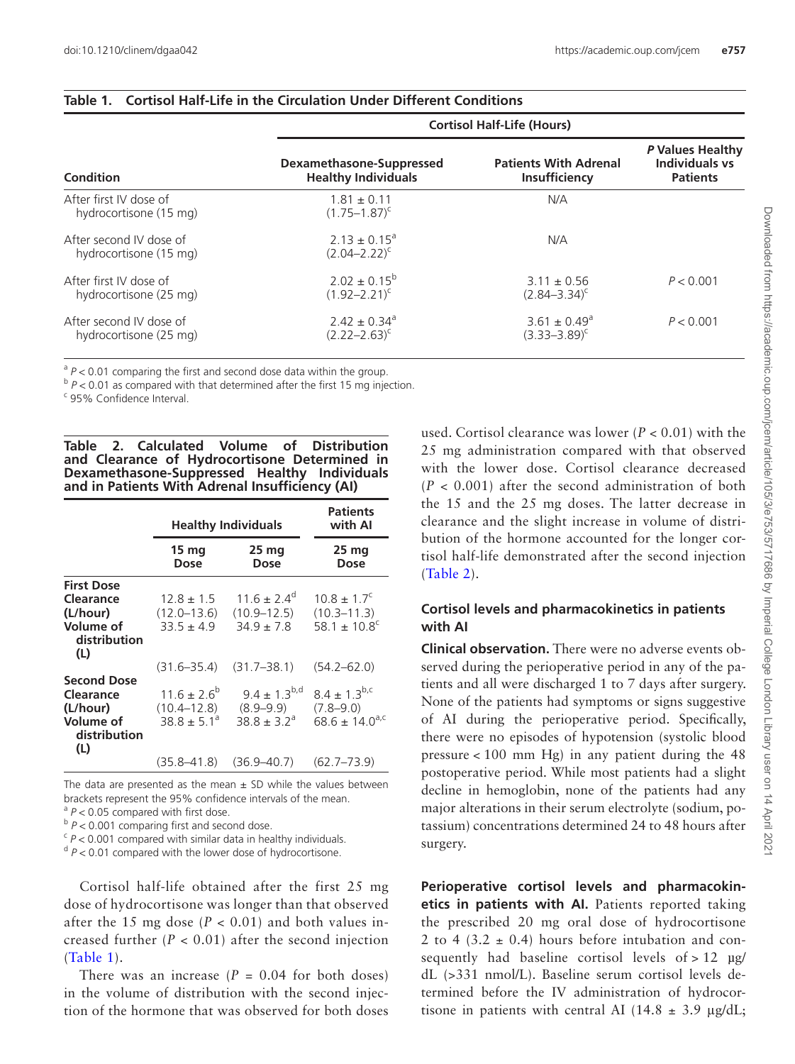|                                                   | <b>Cortisol Half-Life (Hours)</b>                      |                                                      |                                                              |  |
|---------------------------------------------------|--------------------------------------------------------|------------------------------------------------------|--------------------------------------------------------------|--|
| Condition                                         | Dexamethasone-Suppressed<br><b>Healthy Individuals</b> | <b>Patients With Adrenal</b><br><b>Insufficiency</b> | P Values Healthy<br><b>Individuals vs</b><br><b>Patients</b> |  |
| After first IV dose of<br>hydrocortisone (15 mg)  | $1.81 \pm 0.11$<br>$(1.75 - 1.87)^{c}$                 | N/A                                                  |                                                              |  |
| After second IV dose of<br>hydrocortisone (15 mg) | $2.13 \pm 0.15^a$<br>$(2.04 - 2.22)^{c}$               | N/A                                                  |                                                              |  |
| After first IV dose of<br>hydrocortisone (25 mg)  | $2.02 \pm 0.15^b$<br>$(1.92 - 2.21)^c$                 | $3.11 \pm 0.56$<br>$(2.84 - 3.34)^c$                 | P < 0.001                                                    |  |
| After second IV dose of<br>hydrocortisone (25 mg) | $2.42 \pm 0.34$ <sup>a</sup><br>$(2.22 - 2.63)^c$      | $3.61 \pm 0.49^{\circ}$<br>$(3.33 - 3.89)^c$         | P < 0.001                                                    |  |

#### <span id="page-4-0"></span>**Table 1. Cortisol Half-Life in the Circulation Under Different Conditions**

 $a<sup>a</sup> P < 0.01$  comparing the first and second dose data within the group.

 $b$   $P$  < 0.01 as compared with that determined after the first 15 mg injection.

<sup>c</sup> 95% Confidence Interval.

<span id="page-4-1"></span>**Table 2. Calculated Volume of Distribution and Clearance of Hydrocortisone Determined in Dexamethasone-Suppressed Healthy Individuals and in Patients With Adrenal Insufficiency (AI)**

|                                                                                 | <b>Healthy Individuals</b>                          |                                                         | <b>Patients</b><br>with Al                                             |  |
|---------------------------------------------------------------------------------|-----------------------------------------------------|---------------------------------------------------------|------------------------------------------------------------------------|--|
|                                                                                 | 15 <sub>mg</sub><br>Dose                            | 25 <sub>mg</sub><br><b>Dose</b>                         | 25 <sub>mg</sub><br>Dose                                               |  |
| <b>First Dose</b><br>Clearance<br>(L/hour)<br>Volume of<br>distribution<br>(L)  | $12.8 \pm 1.5$<br>$(12.0 - 13.6)$<br>$33.5 \pm 4.9$ | $116 + 24^{\circ}$<br>$(10.9 - 12.5)$<br>$34.9 \pm 7.8$ | $10.8 \pm 1.7^c$<br>$(10.3 - 11.3)$<br>58.1 $\pm$ 10.8 <sup>c</sup>    |  |
|                                                                                 | $(31.6 - 35.4)$                                     | $(31.7 - 38.1)$                                         | $(54.2 - 62.0)$                                                        |  |
| <b>Second Dose</b><br>Clearance<br>(L/hour)<br>Volume of<br>distribution<br>(L) | $11.6 \pm 2.6^b$<br>$(10.4 - 12.8)$<br>$388 + 51^a$ | $9.4 \pm 1.3^{b,d}$<br>$(8.9 - 9.9)$<br>$388 + 32^{a}$  | $8.4 \pm 1.3^{b,c}$<br>$(7.8 - 9.0)$<br>$68.6 \pm 14.0$ <sup>a,c</sup> |  |
|                                                                                 | $(35.8 - 41.8)$                                     | $(36.9 - 40.7)$                                         | $(62.7 - 73.9)$                                                        |  |

The data are presented as the mean  $\pm$  SD while the values between brackets represent the 95% confidence intervals of the mean.

<sup>a</sup>  $P$  < 0.05 compared with first dose.

<sup>b</sup> *P* < 0.001 comparing first and second dose.

 $\epsilon$  *P* < 0.001 compared with similar data in healthy individuals.

<sup>d</sup> *P* < 0.01 compared with the lower dose of hydrocortisone.

Cortisol half-life obtained after the first 25 mg dose of hydrocortisone was longer than that observed after the 15 mg dose  $(P < 0.01)$  and both values increased further  $(P < 0.01)$  after the second injection ([Table 1](#page-4-0)).

There was an increase  $(P = 0.04$  for both doses) in the volume of distribution with the second injection of the hormone that was observed for both doses used. Cortisol clearance was lower (*P* < 0.01) with the 25 mg administration compared with that observed with the lower dose. Cortisol clearance decreased  $(P < 0.001)$  after the second administration of both the 15 and the 25 mg doses. The latter decrease in clearance and the slight increase in volume of distribution of the hormone accounted for the longer cortisol half-life demonstrated after the second injection [\(Table 2](#page-4-1)).

## **Cortisol levels and pharmacokinetics in patients with AI**

**Clinical observation.** There were no adverse events observed during the perioperative period in any of the patients and all were discharged 1 to 7 days after surgery. None of the patients had symptoms or signs suggestive of AI during the perioperative period. Specifically, there were no episodes of hypotension (systolic blood pressure  $< 100$  mm Hg) in any patient during the 48 postoperative period. While most patients had a slight decline in hemoglobin, none of the patients had any major alterations in their serum electrolyte (sodium, potassium) concentrations determined 24 to 48 hours after surgery.

**Perioperative cortisol levels and pharmacokinetics in patients with AI.** Patients reported taking the prescribed 20 mg oral dose of hydrocortisone 2 to 4 (3.2  $\pm$  0.4) hours before intubation and consequently had baseline cortisol levels of  $> 12 \mu g$ / dL (>331 nmol/L). Baseline serum cortisol levels determined before the IV administration of hydrocortisone in patients with central AI (14.8  $\pm$  3.9  $\mu$ g/dL;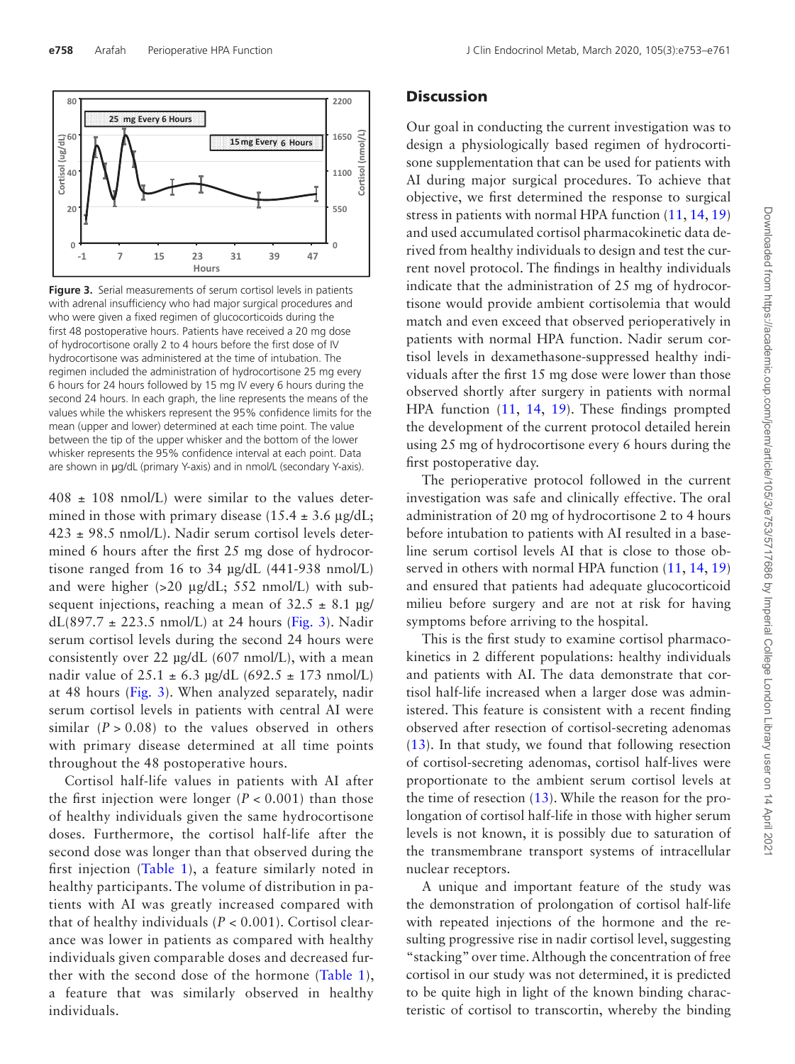

<span id="page-5-0"></span>**Figure 3.** Serial measurements of serum cortisol levels in patients with adrenal insufficiency who had major surgical procedures and who were given a fixed regimen of glucocorticoids during the first 48 postoperative hours. Patients have received a 20 mg dose of hydrocortisone orally 2 to 4 hours before the first dose of IV hydrocortisone was administered at the time of intubation. The regimen included the administration of hydrocortisone 25 mg every 6 hours for 24 hours followed by 15 mg IV every 6 hours during the second 24 hours. In each graph, the line represents the means of the values while the whiskers represent the 95% confidence limits for the mean (upper and lower) determined at each time point. The value between the tip of the upper whisker and the bottom of the lower whisker represents the 95% confidence interval at each point. Data are shown in μg/dL (primary Y-axis) and in nmol/L (secondary Y-axis).

 $408 \pm 108$  nmol/L) were similar to the values determined in those with primary disease (15.4  $\pm$  3.6 µg/dL;  $423 \pm 98.5$  nmol/L). Nadir serum cortisol levels determined 6 hours after the first 25 mg dose of hydrocortisone ranged from 16 to 34 µg/dL (441-938 nmol/L) and were higher  $(>20 \mu g/dL; 552 \text{ nmol/L})$  with subsequent injections, reaching a mean of  $32.5 \pm 8.1$  µg/  $dL(897.7 \pm 223.5 \text{ nmol/L})$  at 24 hours [\(Fig. 3\)](#page-5-0). Nadir serum cortisol levels during the second 24 hours were consistently over 22 µg/dL (607 nmol/L), with a mean nadir value of  $25.1 \pm 6.3$  µg/dL (692.5  $\pm$  173 nmol/L) at 48 hours ([Fig. 3](#page-5-0)). When analyzed separately, nadir serum cortisol levels in patients with central AI were similar  $(P > 0.08)$  to the values observed in others with primary disease determined at all time points throughout the 48 postoperative hours.

Cortisol half-life values in patients with AI after the first injection were longer  $(P < 0.001)$  than those of healthy individuals given the same hydrocortisone doses. Furthermore, the cortisol half-life after the second dose was longer than that observed during the first injection ([Table 1\)](#page-4-0), a feature similarly noted in healthy participants. The volume of distribution in patients with AI was greatly increased compared with that of healthy individuals (*P* < 0.001). Cortisol clearance was lower in patients as compared with healthy individuals given comparable doses and decreased further with the second dose of the hormone [\(Table 1](#page-4-0)), a feature that was similarly observed in healthy individuals.

#### **Discussion**

Our goal in conducting the current investigation was to design a physiologically based regimen of hydrocortisone supplementation that can be used for patients with AI during major surgical procedures. To achieve that objective, we first determined the response to surgical stress in patients with normal HPA function  $(11, 14, 19)$  $(11, 14, 19)$  $(11, 14, 19)$  $(11, 14, 19)$  $(11, 14, 19)$ and used accumulated cortisol pharmacokinetic data derived from healthy individuals to design and test the current novel protocol. The findings in healthy individuals indicate that the administration of 25 mg of hydrocortisone would provide ambient cortisolemia that would match and even exceed that observed perioperatively in patients with normal HPA function. Nadir serum cortisol levels in dexamethasone-suppressed healthy individuals after the first 15 mg dose were lower than those observed shortly after surgery in patients with normal HPA function ([11,](#page-7-10) [14](#page-7-13), [19\)](#page-7-18). These findings prompted the development of the current protocol detailed herein using 25 mg of hydrocortisone every 6 hours during the first postoperative day.

The perioperative protocol followed in the current investigation was safe and clinically effective. The oral administration of 20 mg of hydrocortisone 2 to 4 hours before intubation to patients with AI resulted in a baseline serum cortisol levels AI that is close to those observed in others with normal HPA function  $(11, 14, 19)$  $(11, 14, 19)$  $(11, 14, 19)$  $(11, 14, 19)$  $(11, 14, 19)$  $(11, 14, 19)$ and ensured that patients had adequate glucocorticoid milieu before surgery and are not at risk for having symptoms before arriving to the hospital.

This is the first study to examine cortisol pharmacokinetics in 2 different populations: healthy individuals and patients with AI. The data demonstrate that cortisol half-life increased when a larger dose was administered. This feature is consistent with a recent finding observed after resection of cortisol-secreting adenomas [\(13](#page-7-12)). In that study, we found that following resection of cortisol-secreting adenomas, cortisol half-lives were proportionate to the ambient serum cortisol levels at the time of resection  $(13)$  $(13)$  $(13)$ . While the reason for the prolongation of cortisol half-life in those with higher serum levels is not known, it is possibly due to saturation of the transmembrane transport systems of intracellular nuclear receptors.

A unique and important feature of the study was the demonstration of prolongation of cortisol half-life with repeated injections of the hormone and the resulting progressive rise in nadir cortisol level, suggesting "stacking" over time. Although the concentration of free cortisol in our study was not determined, it is predicted to be quite high in light of the known binding characteristic of cortisol to transcortin, whereby the binding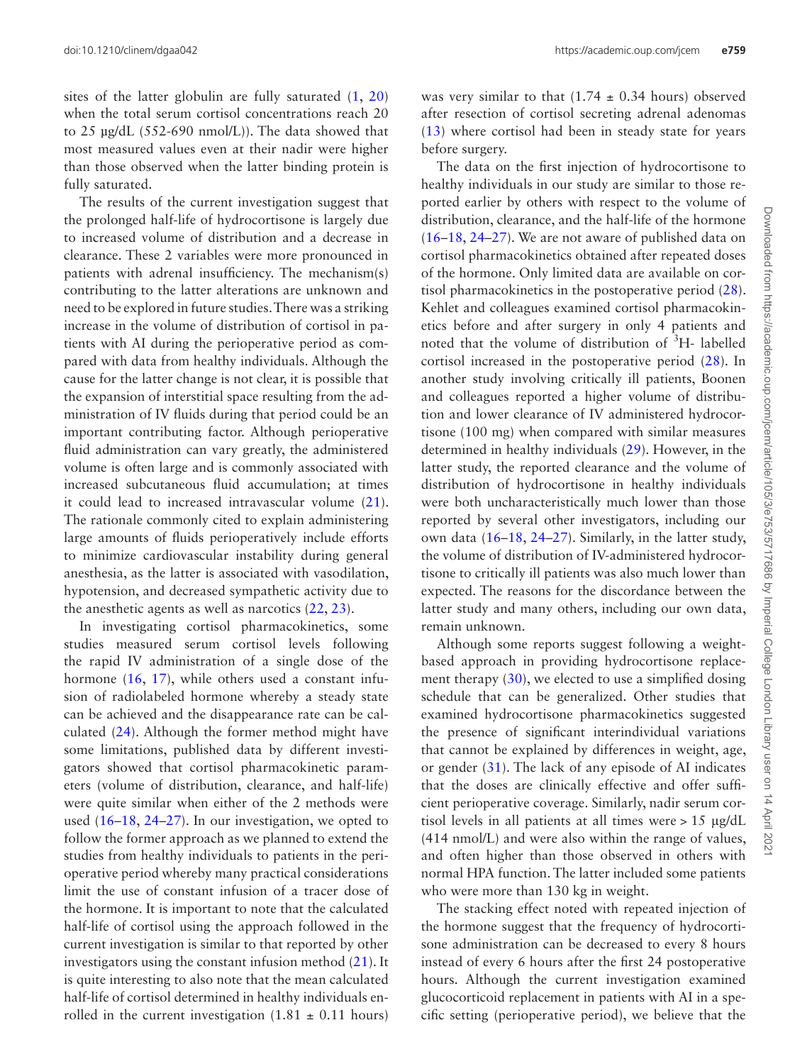sites of the latter globulin are fully saturated ([1,](#page-7-0) [20\)](#page-7-19) when the total serum cortisol concentrations reach 20 to 25 µg/dL (552-690 nmol/L)). The data showed that most measured values even at their nadir were higher than those observed when the latter binding protein is fully saturated.

The results of the current investigation suggest that the prolonged half-life of hydrocortisone is largely due to increased volume of distribution and a decrease in clearance. These 2 variables were more pronounced in patients with adrenal insufficiency. The mechanism(s) contributing to the latter alterations are unknown and need to be explored in future studies. There was a striking increase in the volume of distribution of cortisol in patients with AI during the perioperative period as compared with data from healthy individuals. Although the cause for the latter change is not clear, it is possible that the expansion of interstitial space resulting from the administration of IV fluids during that period could be an important contributing factor. Although perioperative fluid administration can vary greatly, the administered volume is often large and is commonly associated with increased subcutaneous fluid accumulation; at times it could lead to increased intravascular volume [\(21](#page-7-20)). The rationale commonly cited to explain administering large amounts of fluids perioperatively include efforts to minimize cardiovascular instability during general anesthesia, as the latter is associated with vasodilation, hypotension, and decreased sympathetic activity due to the anesthetic agents as well as narcotics  $(22, 23)$  $(22, 23)$  $(22, 23)$  $(22, 23)$ .

In investigating cortisol pharmacokinetics, some studies measured serum cortisol levels following the rapid IV administration of a single dose of the hormone ([16,](#page-7-15) [17\)](#page-7-17), while others used a constant infusion of radiolabeled hormone whereby a steady state can be achieved and the disappearance rate can be calculated [\(24](#page-8-0)). Although the former method might have some limitations, published data by different investigators showed that cortisol pharmacokinetic parameters (volume of distribution, clearance, and half-life) were quite similar when either of the 2 methods were used [\(16](#page-7-15)[–18](#page-7-16), [24](#page-8-0)[–27](#page-8-1)). In our investigation, we opted to follow the former approach as we planned to extend the studies from healthy individuals to patients in the perioperative period whereby many practical considerations limit the use of constant infusion of a tracer dose of the hormone. It is important to note that the calculated half-life of cortisol using the approach followed in the current investigation is similar to that reported by other investigators using the constant infusion method [\(21](#page-7-20)). It is quite interesting to also note that the mean calculated half-life of cortisol determined in healthy individuals enrolled in the current investigation  $(1.81 \pm 0.11 \text{ hours})$  was very similar to that  $(1.74 \pm 0.34$  hours) observed after resection of cortisol secreting adrenal adenomas [\(13](#page-7-12)) where cortisol had been in steady state for years before surgery.

The data on the first injection of hydrocortisone to healthy individuals in our study are similar to those reported earlier by others with respect to the volume of distribution, clearance, and the half-life of the hormone [\(16](#page-7-15)[–18,](#page-7-16) [24–](#page-8-0)[27](#page-8-1)). We are not aware of published data on cortisol pharmacokinetics obtained after repeated doses of the hormone. Only limited data are available on cortisol pharmacokinetics in the postoperative period [\(28](#page-8-2)). Kehlet and colleagues examined cortisol pharmacokinetics before and after surgery in only 4 patients and noted that the volume of distribution of <sup>3</sup>H- labelled cortisol increased in the postoperative period ([28](#page-8-2)). In another study involving critically ill patients, Boonen and colleagues reported a higher volume of distribution and lower clearance of IV administered hydrocortisone (100 mg) when compared with similar measures determined in healthy individuals ([29\)](#page-8-3). However, in the latter study, the reported clearance and the volume of distribution of hydrocortisone in healthy individuals were both uncharacteristically much lower than those reported by several other investigators, including our own data ([16–](#page-7-15)[18,](#page-7-16) [24–](#page-8-0)[27\)](#page-8-1). Similarly, in the latter study, the volume of distribution of IV-administered hydrocortisone to critically ill patients was also much lower than expected. The reasons for the discordance between the latter study and many others, including our own data, remain unknown.

Although some reports suggest following a weightbased approach in providing hydrocortisone replacement therapy [\(30](#page-8-4)), we elected to use a simplified dosing schedule that can be generalized. Other studies that examined hydrocortisone pharmacokinetics suggested the presence of significant interindividual variations that cannot be explained by differences in weight, age, or gender [\(31](#page-8-5)). The lack of any episode of AI indicates that the doses are clinically effective and offer sufficient perioperative coverage. Similarly, nadir serum cortisol levels in all patients at all times were > 15 μg/dL (414 nmol/L) and were also within the range of values, and often higher than those observed in others with normal HPA function. The latter included some patients who were more than 130 kg in weight.

The stacking effect noted with repeated injection of the hormone suggest that the frequency of hydrocortisone administration can be decreased to every 8 hours instead of every 6 hours after the first 24 postoperative hours. Although the current investigation examined glucocorticoid replacement in patients with AI in a specific setting (perioperative period), we believe that the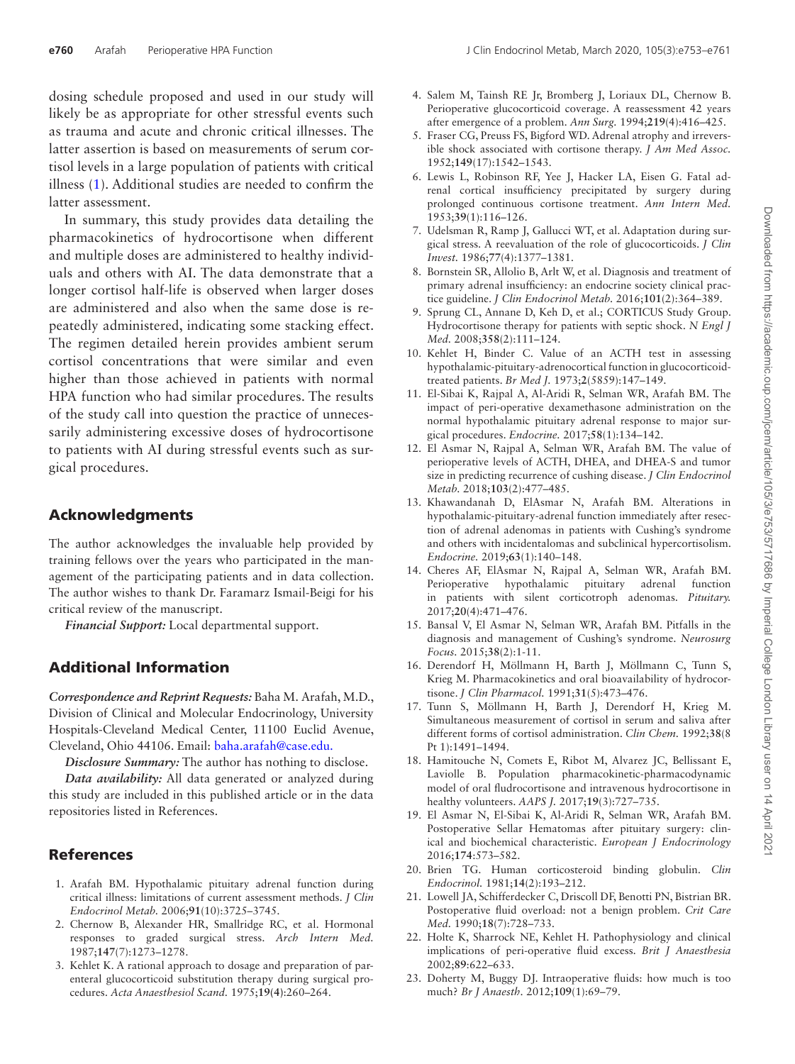dosing schedule proposed and used in our study will likely be as appropriate for other stressful events such as trauma and acute and chronic critical illnesses. The latter assertion is based on measurements of serum cortisol levels in a large population of patients with critical illness [\(1](#page-7-0)). Additional studies are needed to confirm the latter assessment.

In summary, this study provides data detailing the pharmacokinetics of hydrocortisone when different and multiple doses are administered to healthy individuals and others with AI. The data demonstrate that a longer cortisol half-life is observed when larger doses are administered and also when the same dose is repeatedly administered, indicating some stacking effect. The regimen detailed herein provides ambient serum cortisol concentrations that were similar and even higher than those achieved in patients with normal HPA function who had similar procedures. The results of the study call into question the practice of unnecessarily administering excessive doses of hydrocortisone to patients with AI during stressful events such as surgical procedures.

## Acknowledgments

The author acknowledges the invaluable help provided by training fellows over the years who participated in the management of the participating patients and in data collection. The author wishes to thank Dr. Faramarz Ismail-Beigi for his critical review of the manuscript.

*Financial Support:* Local departmental support.

# Additional Information

*Correspondence and Reprint Requests:* Baha M. Arafah, M.D., Division of Clinical and Molecular Endocrinology, University Hospitals-Cleveland Medical Center, 11100 Euclid Avenue, Cleveland, Ohio 44106. Email: baha.arafah@case.edu.

*Disclosure Summary:* The author has nothing to disclose.

*Data availability:* All data generated or analyzed during this study are included in this published article or in the data repositories listed in References.

## References

- <span id="page-7-0"></span>1. Arafah BM. Hypothalamic pituitary adrenal function during critical illness: limitations of current assessment methods. *J Clin Endocrinol Metab.* 2006;**91**(10):3725–3745.
- <span id="page-7-1"></span>2. Chernow B, Alexander HR, Smallridge RC, et al. Hormonal responses to graded surgical stress. *Arch Intern Med.* 1987;**147**(7):1273–1278.
- <span id="page-7-2"></span>3. Kehlet K. A rational approach to dosage and preparation of parenteral glucocorticoid substitution therapy during surgical procedures. *Acta Anaesthesiol Scand.* 1975;**19(4)**:260–264.
- <span id="page-7-3"></span>4. Salem M, Tainsh RE Jr, Bromberg J, Loriaux DL, Chernow B. Perioperative glucocorticoid coverage. A reassessment 42 years after emergence of a problem. *Ann Surg.* 1994;**219**(4):416–425.
- <span id="page-7-4"></span>5. Fraser CG, Preuss FS, Bigford WD. Adrenal atrophy and irreversible shock associated with cortisone therapy. *J Am Med Assoc.* 1952;**149**(17):1542–1543.
- <span id="page-7-5"></span>6. Lewis L, Robinson RF, Yee J, Hacker LA, Eisen G. Fatal adrenal cortical insufficiency precipitated by surgery during prolonged continuous cortisone treatment. *Ann Intern Med.* 1953;**39**(1):116–126.
- <span id="page-7-6"></span>7. Udelsman R, Ramp J, Gallucci WT, et al. Adaptation during surgical stress. A reevaluation of the role of glucocorticoids. *J Clin Invest.* 1986;**77**(4):1377–1381.
- <span id="page-7-7"></span>8. Bornstein SR, Allolio B, Arlt W, et al. Diagnosis and treatment of primary adrenal insufficiency: an endocrine society clinical practice guideline. *J Clin Endocrinol Metab.* 2016;**101**(2):364–389.
- <span id="page-7-8"></span>9. Sprung CL, Annane D, Keh D, et al.; CORTICUS Study Group. Hydrocortisone therapy for patients with septic shock. *N Engl J Med.* 2008;**358**(2):111–124.
- <span id="page-7-9"></span>10. Kehlet H, Binder C. Value of an ACTH test in assessing hypothalamic-pituitary-adrenocortical function in glucocorticoidtreated patients. *Br Med J.* 1973;**2**(5859):147–149.
- <span id="page-7-10"></span>11. El-Sibai K, Rajpal A, Al-Aridi R, Selman WR, Arafah BM. The impact of peri-operative dexamethasone administration on the normal hypothalamic pituitary adrenal response to major surgical procedures. *Endocrine.* 2017;**58**(1):134–142.
- <span id="page-7-11"></span>12. El Asmar N, Rajpal A, Selman WR, Arafah BM. The value of perioperative levels of ACTH, DHEA, and DHEA-S and tumor size in predicting recurrence of cushing disease. *J Clin Endocrinol Metab.* 2018;**103**(2):477–485.
- <span id="page-7-12"></span>13. Khawandanah D, ElAsmar N, Arafah BM. Alterations in hypothalamic-pituitary-adrenal function immediately after resection of adrenal adenomas in patients with Cushing's syndrome and others with incidentalomas and subclinical hypercortisolism. *Endocrine.* 2019;**63**(1):140–148.
- <span id="page-7-13"></span>14. Cheres AF, ElAsmar N, Rajpal A, Selman WR, Arafah BM. Perioperative hypothalamic pituitary adrenal function in patients with silent corticotroph adenomas. *Pituitary.* 2017;**20**(4):471–476.
- <span id="page-7-14"></span>15. Bansal V, El Asmar N, Selman WR, Arafah BM. Pitfalls in the diagnosis and management of Cushing's syndrome. *Neurosurg Focus.* 2015;**38**(2):1-11.
- <span id="page-7-15"></span>16. Derendorf H, Möllmann H, Barth J, Möllmann C, Tunn S, Krieg M. Pharmacokinetics and oral bioavailability of hydrocortisone. *J Clin Pharmacol.* 1991;**31**(5):473–476.
- <span id="page-7-17"></span>17. Tunn S, Möllmann H, Barth J, Derendorf H, Krieg M. Simultaneous measurement of cortisol in serum and saliva after different forms of cortisol administration. *Clin Chem.* 1992;**38**(8 Pt 1):1491–1494.
- <span id="page-7-16"></span>18. Hamitouche N, Comets E, Ribot M, Alvarez JC, Bellissant E, Laviolle B. Population pharmacokinetic-pharmacodynamic model of oral fludrocortisone and intravenous hydrocortisone in healthy volunteers. *AAPS J.* 2017;**19**(3):727–735.
- <span id="page-7-18"></span>19. El Asmar N, El-Sibai K, Al-Aridi R, Selman WR, Arafah BM. Postoperative Sellar Hematomas after pituitary surgery: clinical and biochemical characteristic. *European J Endocrinology* 2016;**174**:573–582.
- <span id="page-7-19"></span>20. Brien TG. Human corticosteroid binding globulin. *Clin Endocrinol.* 1981;**14**(2):193–212.
- <span id="page-7-20"></span>21. Lowell JA, Schifferdecker C, Driscoll DF, Benotti PN, Bistrian BR. Postoperative fluid overload: not a benign problem. *Crit Care Med.* 1990;**18**(7):728–733.
- <span id="page-7-21"></span>22. Holte K, Sharrock NE, Kehlet H. Pathophysiology and clinical implications of peri-operative fluid excess. *Brit J Anaesthesia* 2002;**89**:622–633.
- <span id="page-7-22"></span>23. Doherty M, Buggy DJ. Intraoperative fluids: how much is too much? *Br J Anaesth.* 2012;**109**(1):69–79.